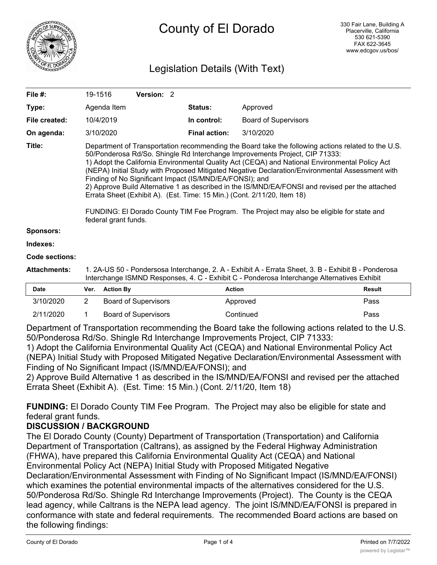

# Legislation Details (With Text)

| File $#$ :            | 19-1516                                                                                                                                                                                                                                                                                                                                                                                                                                                                                                                                                                                                                                                                                                                                              | Version: 2 |  |                      |                             |               |  |
|-----------------------|------------------------------------------------------------------------------------------------------------------------------------------------------------------------------------------------------------------------------------------------------------------------------------------------------------------------------------------------------------------------------------------------------------------------------------------------------------------------------------------------------------------------------------------------------------------------------------------------------------------------------------------------------------------------------------------------------------------------------------------------------|------------|--|----------------------|-----------------------------|---------------|--|
| Type:                 | Agenda Item                                                                                                                                                                                                                                                                                                                                                                                                                                                                                                                                                                                                                                                                                                                                          |            |  | <b>Status:</b>       | Approved                    |               |  |
| File created:         | 10/4/2019                                                                                                                                                                                                                                                                                                                                                                                                                                                                                                                                                                                                                                                                                                                                            |            |  | In control:          | <b>Board of Supervisors</b> |               |  |
| On agenda:            | 3/10/2020                                                                                                                                                                                                                                                                                                                                                                                                                                                                                                                                                                                                                                                                                                                                            |            |  | <b>Final action:</b> | 3/10/2020                   |               |  |
| Title:                | Department of Transportation recommending the Board take the following actions related to the U.S.<br>50/Ponderosa Rd/So. Shingle Rd Interchange Improvements Project, CIP 71333:<br>1) Adopt the California Environmental Quality Act (CEQA) and National Environmental Policy Act<br>(NEPA) Initial Study with Proposed Mitigated Negative Declaration/Environmental Assessment with<br>Finding of No Significant Impact (IS/MND/EA/FONSI); and<br>2) Approve Build Alternative 1 as described in the IS/MND/EA/FONSI and revised per the attached<br>Errata Sheet (Exhibit A). (Est. Time: 15 Min.) (Cont. 2/11/20, Item 18)<br>FUNDING: El Dorado County TIM Fee Program. The Project may also be eligible for state and<br>federal grant funds. |            |  |                      |                             |               |  |
| <b>Sponsors:</b>      |                                                                                                                                                                                                                                                                                                                                                                                                                                                                                                                                                                                                                                                                                                                                                      |            |  |                      |                             |               |  |
| Indexes:              |                                                                                                                                                                                                                                                                                                                                                                                                                                                                                                                                                                                                                                                                                                                                                      |            |  |                      |                             |               |  |
| <b>Code sections:</b> |                                                                                                                                                                                                                                                                                                                                                                                                                                                                                                                                                                                                                                                                                                                                                      |            |  |                      |                             |               |  |
| <b>Attachments:</b>   | 1. 2A-US 50 - Pondersosa Interchange, 2. A - Exhibit A - Errata Sheet, 3. B - Exhibit B - Ponderosa<br>Interchange ISMND Responses, 4. C - Exhibit C - Ponderosa Interchange Alternatives Exhibit                                                                                                                                                                                                                                                                                                                                                                                                                                                                                                                                                    |            |  |                      |                             |               |  |
| Date                  | <b>Action By</b><br>Ver.                                                                                                                                                                                                                                                                                                                                                                                                                                                                                                                                                                                                                                                                                                                             |            |  | <b>Action</b>        |                             | <b>Result</b> |  |
|                       |                                                                                                                                                                                                                                                                                                                                                                                                                                                                                                                                                                                                                                                                                                                                                      |            |  |                      |                             |               |  |

| 3/10/2020 | <b>Board of Supervisors</b> | Approved  | Pass |
|-----------|-----------------------------|-----------|------|
| 2/11/2020 | <b>Board of Supervisors</b> | Continued | Pass |

Department of Transportation recommending the Board take the following actions related to the U.S. 50/Ponderosa Rd/So. Shingle Rd Interchange Improvements Project, CIP 71333:

1) Adopt the California Environmental Quality Act (CEQA) and National Environmental Policy Act (NEPA) Initial Study with Proposed Mitigated Negative Declaration/Environmental Assessment with Finding of No Significant Impact (IS/MND/EA/FONSI); and

2) Approve Build Alternative 1 as described in the IS/MND/EA/FONSI and revised per the attached Errata Sheet (Exhibit A). (Est. Time: 15 Min.) (Cont. 2/11/20, Item 18)

**FUNDING:** El Dorado County TIM Fee Program. The Project may also be eligible for state and federal grant funds.

# **DISCUSSION / BACKGROUND**

The El Dorado County (County) Department of Transportation (Transportation) and California Department of Transportation (Caltrans), as assigned by the Federal Highway Administration (FHWA), have prepared this California Environmental Quality Act (CEQA) and National Environmental Policy Act (NEPA) Initial Study with Proposed Mitigated Negative Declaration/Environmental Assessment with Finding of No Significant Impact (IS/MND/EA/FONSI) which examines the potential environmental impacts of the alternatives considered for the U.S. 50/Ponderosa Rd/So. Shingle Rd Interchange Improvements (Project). The County is the CEQA lead agency, while Caltrans is the NEPA lead agency. The joint IS/MND/EA/FONSI is prepared in conformance with state and federal requirements. The recommended Board actions are based on the following findings: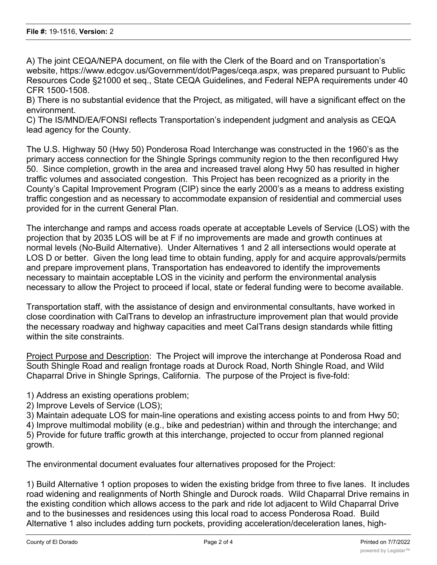A) The joint CEQA/NEPA document, on file with the Clerk of the Board and on Transportation's website, https://www.edcgov.us/Government/dot/Pages/ceqa.aspx, was prepared pursuant to Public Resources Code §21000 et seq., State CEQA Guidelines, and Federal NEPA requirements under 40 CFR 1500-1508.

B) There is no substantial evidence that the Project, as mitigated, will have a significant effect on the environment.

C) The IS/MND/EA/FONSI reflects Transportation's independent judgment and analysis as CEQA lead agency for the County.

The U.S. Highway 50 (Hwy 50) Ponderosa Road Interchange was constructed in the 1960's as the primary access connection for the Shingle Springs community region to the then reconfigured Hwy 50. Since completion, growth in the area and increased travel along Hwy 50 has resulted in higher traffic volumes and associated congestion. This Project has been recognized as a priority in the County's Capital Improvement Program (CIP) since the early 2000's as a means to address existing traffic congestion and as necessary to accommodate expansion of residential and commercial uses provided for in the current General Plan.

The interchange and ramps and access roads operate at acceptable Levels of Service (LOS) with the projection that by 2035 LOS will be at F if no improvements are made and growth continues at normal levels (No-Build Alternative). Under Alternatives 1 and 2 all intersections would operate at LOS D or better. Given the long lead time to obtain funding, apply for and acquire approvals/permits and prepare improvement plans, Transportation has endeavored to identify the improvements necessary to maintain acceptable LOS in the vicinity and perform the environmental analysis necessary to allow the Project to proceed if local, state or federal funding were to become available.

Transportation staff, with the assistance of design and environmental consultants, have worked in close coordination with CalTrans to develop an infrastructure improvement plan that would provide the necessary roadway and highway capacities and meet CalTrans design standards while fitting within the site constraints.

Project Purpose and Description: The Project will improve the interchange at Ponderosa Road and South Shingle Road and realign frontage roads at Durock Road, North Shingle Road, and Wild Chaparral Drive in Shingle Springs, California. The purpose of the Project is five-fold:

- 1) Address an existing operations problem;
- 2) Improve Levels of Service (LOS);
- 3) Maintain adequate LOS for main-line operations and existing access points to and from Hwy 50;
- 4) Improve multimodal mobility (e.g., bike and pedestrian) within and through the interchange; and 5) Provide for future traffic growth at this interchange, projected to occur from planned regional growth.

The environmental document evaluates four alternatives proposed for the Project:

1) Build Alternative 1 option proposes to widen the existing bridge from three to five lanes. It includes road widening and realignments of North Shingle and Durock roads. Wild Chaparral Drive remains in the existing condition which allows access to the park and ride lot adjacent to Wild Chaparral Drive and to the businesses and residences using this local road to access Ponderosa Road. Build Alternative 1 also includes adding turn pockets, providing acceleration/deceleration lanes, high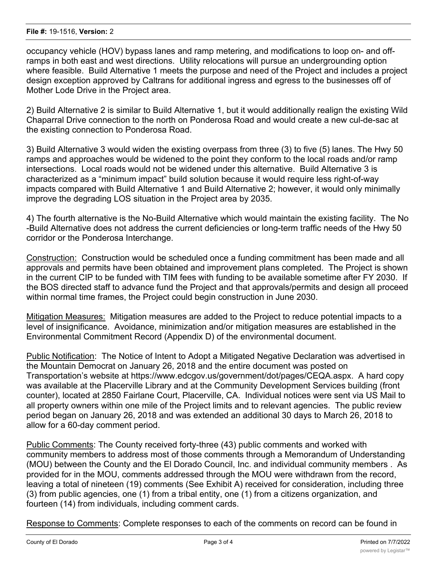occupancy vehicle (HOV) bypass lanes and ramp metering, and modifications to loop on- and offramps in both east and west directions. Utility relocations will pursue an undergrounding option where feasible. Build Alternative 1 meets the purpose and need of the Project and includes a project design exception approved by Caltrans for additional ingress and egress to the businesses off of Mother Lode Drive in the Project area.

2) Build Alternative 2 is similar to Build Alternative 1, but it would additionally realign the existing Wild Chaparral Drive connection to the north on Ponderosa Road and would create a new cul-de-sac at the existing connection to Ponderosa Road.

3) Build Alternative 3 would widen the existing overpass from three (3) to five (5) lanes. The Hwy 50 ramps and approaches would be widened to the point they conform to the local roads and/or ramp intersections. Local roads would not be widened under this alternative. Build Alternative 3 is characterized as a "minimum impact" build solution because it would require less right-of-way impacts compared with Build Alternative 1 and Build Alternative 2; however, it would only minimally improve the degrading LOS situation in the Project area by 2035.

4) The fourth alternative is the No-Build Alternative which would maintain the existing facility. The No -Build Alternative does not address the current deficiencies or long-term traffic needs of the Hwy 50 corridor or the Ponderosa Interchange.

Construction: Construction would be scheduled once a funding commitment has been made and all approvals and permits have been obtained and improvement plans completed. The Project is shown in the current CIP to be funded with TIM fees with funding to be available sometime after FY 2030. If the BOS directed staff to advance fund the Project and that approvals/permits and design all proceed within normal time frames, the Project could begin construction in June 2030.

Mitigation Measures: Mitigation measures are added to the Project to reduce potential impacts to a level of insignificance. Avoidance, minimization and/or mitigation measures are established in the Environmental Commitment Record (Appendix D) of the environmental document.

Public Notification: The Notice of Intent to Adopt a Mitigated Negative Declaration was advertised in the Mountain Democrat on January 26, 2018 and the entire document was posted on Transportation's website at https://www.edcgov.us/government/dot/pages/CEQA.aspx. A hard copy was available at the Placerville Library and at the Community Development Services building (front counter), located at 2850 Fairlane Court, Placerville, CA. Individual notices were sent via US Mail to all property owners within one mile of the Project limits and to relevant agencies. The public review period began on January 26, 2018 and was extended an additional 30 days to March 26, 2018 to allow for a 60-day comment period.

Public Comments: The County received forty-three (43) public comments and worked with community members to address most of those comments through a Memorandum of Understanding (MOU) between the County and the El Dorado Council, Inc. and individual community members . As provided for in the MOU, comments addressed through the MOU were withdrawn from the record, leaving a total of nineteen (19) comments (See Exhibit A) received for consideration, including three (3) from public agencies, one (1) from a tribal entity, one (1) from a citizens organization, and fourteen (14) from individuals, including comment cards.

Response to Comments: Complete responses to each of the comments on record can be found in